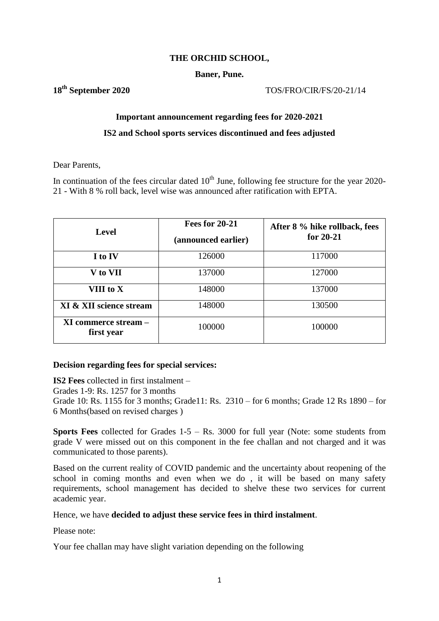## **THE ORCHID SCHOOL,**

## **Baner, Pune.**

**18th September 2020** TOS/FRO/CIR/FS/20-21/14

# **Important announcement regarding fees for 2020-2021**

## **IS2 and School sports services discontinued and fees adjusted**

Dear Parents,

In continuation of the fees circular dated  $10<sup>th</sup>$  June, following fee structure for the year 2020-21 - With 8 % roll back, level wise was announced after ratification with EPTA.

| <b>Level</b>                              | <b>Fees for 20-21</b><br>(announced earlier) | After 8 % hike rollback, fees<br>for $20-21$ |  |  |
|-------------------------------------------|----------------------------------------------|----------------------------------------------|--|--|
| I to IV                                   | 126000                                       | 117000                                       |  |  |
| V to VII                                  | 137000                                       | 127000                                       |  |  |
| VIII to X                                 | 148000                                       | 137000                                       |  |  |
| XI & XII science stream                   | 148000                                       | 130500                                       |  |  |
| <b>XI commerce stream –</b><br>first year | 100000                                       | 100000                                       |  |  |

# **Decision regarding fees for special services:**

**IS2 Fees** collected in first instalment –

Grades 1-9: Rs. 1257 for 3 months

Grade 10: Rs. 1155 for 3 months; Grade11: Rs. 2310 – for 6 months; Grade 12 Rs 1890 – for 6 Months(based on revised charges )

**Sports Fees** collected for Grades 1-5 – Rs. 3000 for full year (Note: some students from grade V were missed out on this component in the fee challan and not charged and it was communicated to those parents).

Based on the current reality of COVID pandemic and the uncertainty about reopening of the school in coming months and even when we do , it will be based on many safety requirements, school management has decided to shelve these two services for current academic year.

Hence, we have **decided to adjust these service fees in third instalment**.

Please note:

Your fee challan may have slight variation depending on the following